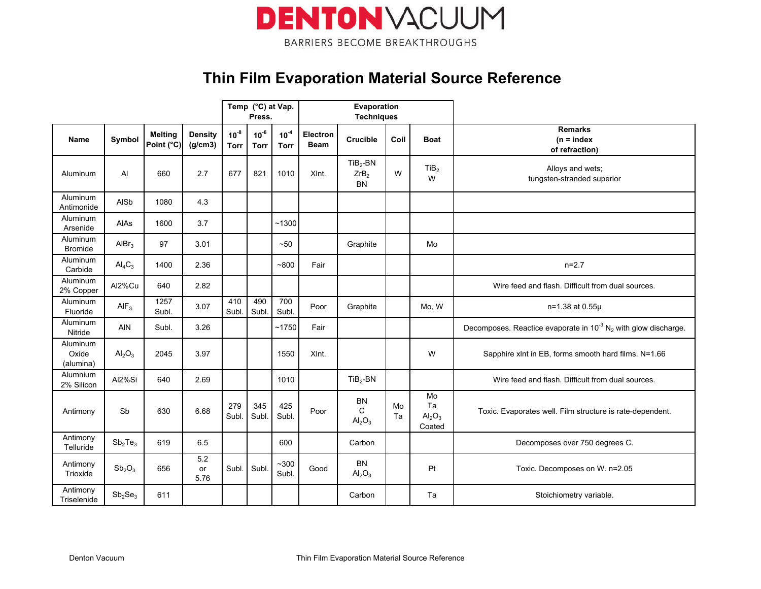

### Thin Film Evaporation Material Source Reference

|                                |                                 |                              |                           |                   |                          | Temp (°C) at Vap.<br>Press. |                         | Evaporation<br><b>Techniques</b>            |          |                                                      |                                                                                 |
|--------------------------------|---------------------------------|------------------------------|---------------------------|-------------------|--------------------------|-----------------------------|-------------------------|---------------------------------------------|----------|------------------------------------------------------|---------------------------------------------------------------------------------|
| <b>Name</b>                    | Symbol                          | <b>Melting</b><br>Point (°C) | <b>Density</b><br>(g/cm3) | $10^{-8}$<br>Torr | $10^{-6}$<br><b>Torr</b> | $10^{-4}$<br><b>Torr</b>    | Electron<br><b>Beam</b> | <b>Crucible</b>                             | Coil     | <b>Boat</b>                                          | <b>Remarks</b><br>$(n = index)$<br>of refraction)                               |
| Aluminum                       | Al                              | 660                          | 2.7                       | 677               | 821                      | 1010                        | XInt.                   | $TiB2-BN$<br>ZrB <sub>2</sub><br><b>BN</b>  | W        | TiB <sub>2</sub><br>W                                | Alloys and wets;<br>tungsten-stranded superior                                  |
| Aluminum<br>Antimonide         | <b>AISb</b>                     | 1080                         | 4.3                       |                   |                          |                             |                         |                                             |          |                                                      |                                                                                 |
| Aluminum<br>Arsenide           | AIAs                            | 1600                         | 3.7                       |                   |                          | ~1300                       |                         |                                             |          |                                                      |                                                                                 |
| Aluminum<br><b>Bromide</b>     | AlBr <sub>3</sub>               | 97                           | 3.01                      |                   |                          | ~50                         |                         | Graphite                                    |          | Mo                                                   |                                                                                 |
| Aluminum<br>Carbide            | $\text{Al}_4\text{C}_3$         | 1400                         | 2.36                      |                   |                          | $-800$                      | Fair                    |                                             |          |                                                      | $n=2.7$                                                                         |
| Aluminum<br>2% Copper          | Al2%Cu                          | 640                          | 2.82                      |                   |                          |                             |                         |                                             |          |                                                      | Wire feed and flash. Difficult from dual sources.                               |
| Aluminum<br>Fluoride           | AIF <sub>3</sub>                | 1257<br>Subl.                | 3.07                      | 410<br>Subl.      | 490<br>Subl.             | 700<br>Subl.                | Poor                    | Graphite                                    |          | Mo, W                                                | n=1.38 at 0.55µ                                                                 |
| Aluminum<br>Nitride            | <b>AIN</b>                      | Subl.                        | 3.26                      |                   |                          | ~1750                       | Fair                    |                                             |          |                                                      | Decomposes. Reactice evaporate in $10^{-3}$ N <sub>2</sub> with glow discharge. |
| Aluminum<br>Oxide<br>(alumina) | $\text{Al}_2\text{O}_3$         | 2045                         | 3.97                      |                   |                          | 1550                        | XInt.                   |                                             |          | W                                                    | Sapphire xlnt in EB, forms smooth hard films. N=1.66                            |
| Alumnium<br>2% Silicon         | Al2%Si                          | 640                          | 2.69                      |                   |                          | 1010                        |                         | $TiB2-BN$                                   |          |                                                      | Wire feed and flash. Difficult from dual sources.                               |
| Antimony                       | Sb                              | 630                          | 6.68                      | 279<br>Subl       | 345<br>Subl.             | 425<br>Subl.                | Poor                    | BN<br>C<br>Al <sub>2</sub> O <sub>3</sub>   | Mo<br>Ta | Mo<br>Ta<br>Al <sub>2</sub> O <sub>3</sub><br>Coated | Toxic. Evaporates well. Film structure is rate-dependent.                       |
| Antimony<br>Telluride          | Sb <sub>2</sub> Te <sub>3</sub> | 619                          | 6.5                       |                   |                          | 600                         |                         | Carbon                                      |          |                                                      | Decomposes over 750 degrees C.                                                  |
| Antimony<br>Trioxide           | Sb <sub>2</sub> O <sub>3</sub>  | 656                          | 5.2<br>or<br>5.76         | Subl.             | Subl.                    | $-300$<br>Subl.             | Good                    | <b>BN</b><br>Al <sub>2</sub> O <sub>3</sub> |          | Pt                                                   | Toxic. Decomposes on W. n=2.05                                                  |
| Antimony<br>Triselenide        | Sb <sub>2</sub> Se <sub>3</sub> | 611                          |                           |                   |                          |                             |                         | Carbon                                      |          | Ta                                                   | Stoichiometry variable.                                                         |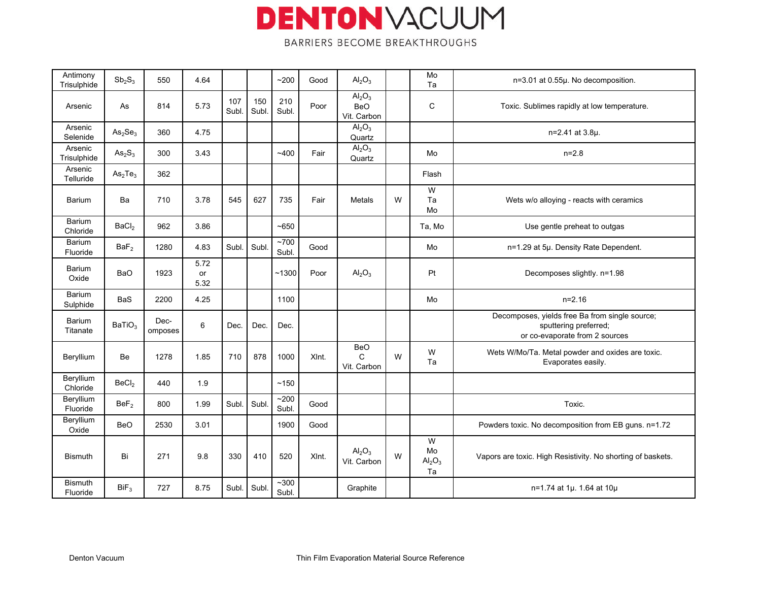| Antimony<br>Trisulphide    | $Sb_2S_3$                       | 550             | 4.64                      |             |             | ~200                | Good  | $\text{Al}_2\text{O}_3$                              |   | Mo<br>Ta                                     | n=3.01 at 0.55µ. No decomposition.                                                                        |
|----------------------------|---------------------------------|-----------------|---------------------------|-------------|-------------|---------------------|-------|------------------------------------------------------|---|----------------------------------------------|-----------------------------------------------------------------------------------------------------------|
| Arsenic                    | As                              | 814             | 5.73                      | 107<br>Subl | 150<br>Subl | 210<br>Subl.        | Poor  | Al <sub>2</sub> O <sub>3</sub><br>BeO<br>Vit. Carbon |   | $\mathsf{C}$                                 | Toxic. Sublimes rapidly at low temperature.                                                               |
| Arsenic<br>Selenide        | As <sub>2</sub> Se <sub>3</sub> | 360             | 4.75                      |             |             |                     |       | $\overline{Al_2O_3}$<br>Quartz                       |   |                                              | n=2.41 at 3.8µ.                                                                                           |
| Arsenic<br>Trisulphide     | $\text{As}_2\text{S}_3$         | 300             | 3.43                      |             |             | ~1400               | Fair  | $\overline{Al_2O_3}$<br>Quartz                       |   | Mo                                           | $n=2.8$                                                                                                   |
| Arsenic<br>Telluride       | As <sub>2</sub> Te <sub>3</sub> | 362             |                           |             |             |                     |       |                                                      |   | Flash                                        |                                                                                                           |
| Barium                     | Ba                              | 710             | 3.78                      | 545         | 627         | 735                 | Fair  | Metals                                               | W | W<br>Ta<br>Mo                                | Wets w/o alloying - reacts with ceramics                                                                  |
| Barium<br>Chloride         | BaCl <sub>2</sub>               | 962             | 3.86                      |             |             | ~1650               |       |                                                      |   | Ta, Mo                                       | Use gentle preheat to outgas                                                                              |
| Barium<br>Fluoride         | BaF <sub>2</sub>                | 1280            | 4.83                      | Subl.       | Subl        | ~1700<br>Subl.      | Good  |                                                      |   | Mo                                           | n=1.29 at 5µ. Density Rate Dependent.                                                                     |
| Barium<br>Oxide            | <b>BaO</b>                      | 1923            | 5.72<br><b>or</b><br>5.32 |             |             | $-1300$             | Poor  | Al <sub>2</sub> O <sub>3</sub>                       |   | Pt                                           | Decomposes slightly. n=1.98                                                                               |
| Barium<br>Sulphide         | <b>BaS</b>                      | 2200            | 4.25                      |             |             | 1100                |       |                                                      |   | Mo                                           | $n=2.16$                                                                                                  |
| Barium<br>Titanate         | BaTiO <sub>3</sub>              | Dec-<br>omposes | 6                         | Dec.        | Dec.        | Dec.                |       |                                                      |   |                                              | Decomposes, yields free Ba from single source;<br>sputtering preferred;<br>or co-evaporate from 2 sources |
| Beryllium                  | Be                              | 1278            | 1.85                      | 710         | 878         | 1000                | XInt. | <b>BeO</b><br>$\mathsf{C}$<br>Vit. Carbon            | W | W<br>Ta                                      | Wets W/Mo/Ta. Metal powder and oxides are toxic.<br>Evaporates easily.                                    |
| Beryllium<br>Chloride      | BeCl <sub>2</sub>               | 440             | 1.9                       |             |             | ~150                |       |                                                      |   |                                              |                                                                                                           |
| Beryllium<br>Fluoride      | BeF <sub>2</sub>                | 800             | 1.99                      | Subl.       | Subl        | ~200<br>Subl.       | Good  |                                                      |   |                                              | Toxic.                                                                                                    |
| Beryllium<br>Oxide         | <b>BeO</b>                      | 2530            | 3.01                      |             |             | 1900                | Good  |                                                      |   |                                              | Powders toxic. No decomposition from EB guns. n=1.72                                                      |
| <b>Bismuth</b>             | Bi                              | 271             | 9.8                       | 330         | 410         | 520                 | XInt. | Al <sub>2</sub> O <sub>3</sub><br>Vit. Carbon        | W | W<br>Mo<br>$\mathsf{Al}_2\mathsf{O}_3$<br>Ta | Vapors are toxic. High Resistivity. No shorting of baskets.                                               |
| <b>Bismuth</b><br>Fluoride | Bif <sub>3</sub>                | 727             | 8.75                      | Subl.       | Subl        | $~1$ - 300<br>Subl. |       | Graphite                                             |   |                                              | n=1.74 at 1µ 1.64 at 10µ                                                                                  |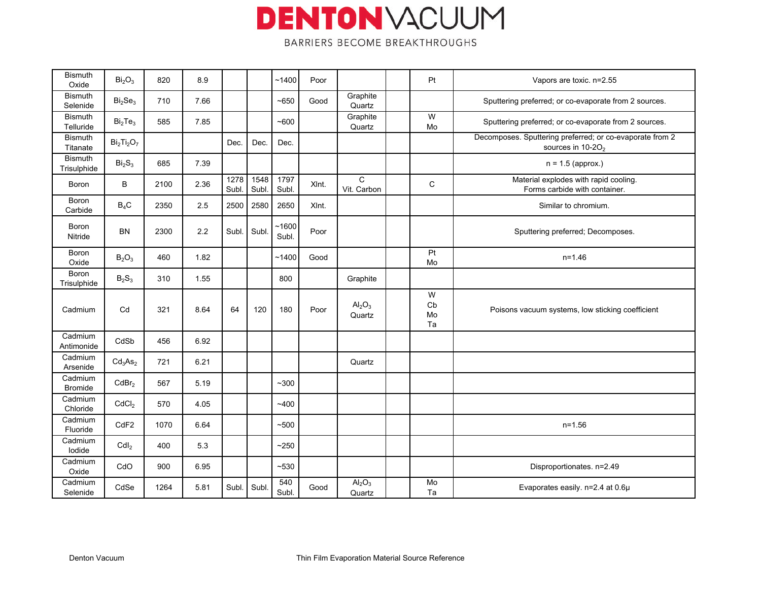| <b>Bismuth</b><br>Oxide       | Bi <sub>2</sub> O <sub>3</sub>  | 820  | 8.9  |               |               | ~1400          | Poor  |                                          | Pt                  | Vapors are toxic. n=2.55                                                                  |
|-------------------------------|---------------------------------|------|------|---------------|---------------|----------------|-------|------------------------------------------|---------------------|-------------------------------------------------------------------------------------------|
| <b>Bismuth</b><br>Selenide    | Bi <sub>2</sub> Se <sub>3</sub> | 710  | 7.66 |               |               | ~1650          | Good  | Graphite<br>Quartz                       |                     | Sputtering preferred; or co-evaporate from 2 sources.                                     |
| <b>Bismuth</b><br>Telluride   | Bi <sub>2</sub> Te <sub>3</sub> | 585  | 7.85 |               |               | $-600$         |       | Graphite<br>Quartz                       | W<br>Mo             | Sputtering preferred; or co-evaporate from 2 sources.                                     |
| <b>Bismuth</b><br>Titanate    | $Bi2Ti2O7$                      |      |      | Dec.          | Dec.          | Dec.           |       |                                          |                     | Decomposes. Sputtering preferred; or co-evaporate from 2<br>sources in 10-20 <sub>2</sub> |
| <b>Bismuth</b><br>Trisulphide | Bi <sub>2</sub> S <sub>3</sub>  | 685  | 7.39 |               |               |                |       |                                          |                     | $n = 1.5$ (approx.)                                                                       |
| Boron                         | B                               | 2100 | 2.36 | 1278<br>Subl. | 1548<br>Subl. | 1797<br>Subl.  | XInt. | $\mathsf C$<br>Vit. Carbon               | $\mathbf C$         | Material explodes with rapid cooling.<br>Forms carbide with container.                    |
| Boron<br>Carbide              | $B_4C$                          | 2350 | 2.5  | 2500          | 2580          | 2650           | XInt. |                                          |                     | Similar to chromium.                                                                      |
| Boron<br>Nitride              | <b>BN</b>                       | 2300 | 2.2  | Subl.         | Subl          | ~1600<br>Subl. | Poor  |                                          |                     | Sputtering preferred; Decomposes.                                                         |
| Boron<br>Oxide                | $B_2O_3$                        | 460  | 1.82 |               |               | ~1400          | Good  |                                          | Pt<br>Mo            | $n = 1.46$                                                                                |
| Boron<br>Trisulphide          | $B_2S_3$                        | 310  | 1.55 |               |               | 800            |       | Graphite                                 |                     |                                                                                           |
| Cadmium                       | Cd                              | 321  | 8.64 | 64            | 120           | 180            | Poor  | $\mathsf{Al}_2\mathsf{O}_3$<br>Quartz    | W<br>Cb<br>Mo<br>Ta | Poisons vacuum systems, low sticking coefficient                                          |
| Cadmium<br>Antimonide         | CdSb                            | 456  | 6.92 |               |               |                |       |                                          |                     |                                                                                           |
| Cadmium<br>Arsenide           | Cd <sub>3</sub> As <sub>2</sub> | 721  | 6.21 |               |               |                |       | Quartz                                   |                     |                                                                                           |
| Cadmium<br><b>Bromide</b>     | CdBr <sub>2</sub>               | 567  | 5.19 |               |               | $~1$ - 300     |       |                                          |                     |                                                                                           |
| Cadmium<br>Chloride           | CdCl <sub>2</sub>               | 570  | 4.05 |               |               | ~1400          |       |                                          |                     |                                                                                           |
| Cadmium<br>Fluoride           | CdF <sub>2</sub>                | 1070 | 6.64 |               |               | ~100           |       |                                          |                     | $n = 1.56$                                                                                |
| Cadmium<br>lodide             | CdI <sub>2</sub>                | 400  | 5.3  |               |               | ~250           |       |                                          |                     |                                                                                           |
| Cadmium<br>Oxide              | CdO                             | 900  | 6.95 |               |               | $~10-530$      |       |                                          |                     | Disproportionates. n=2.49                                                                 |
| Cadmium<br>Selenide           | CdSe                            | 1264 | 5.81 | Subl.         | Subl          | 540<br>Subl.   | Good  | Al <sub>2</sub> O <sub>3</sub><br>Quartz | Mo<br>Ta            | Evaporates easily. n=2.4 at 0.6µ                                                          |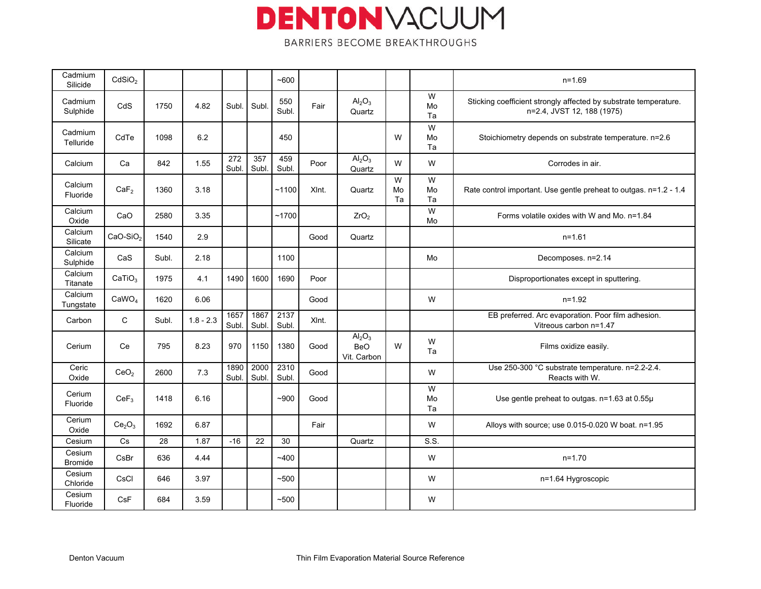| Cadmium<br>Silicide      | CdSiO <sub>2</sub>             |       |             |               |               | ~1600         |       |                                                             |               |               | $n = 1.69$                                                                                     |
|--------------------------|--------------------------------|-------|-------------|---------------|---------------|---------------|-------|-------------------------------------------------------------|---------------|---------------|------------------------------------------------------------------------------------------------|
| Cadmium<br>Sulphide      | CdS                            | 1750  | 4.82        | Subl.         | Subl.         | 550<br>Subl.  | Fair  | $\mathsf{Al}_2\mathsf{O}_3$<br>Quartz                       |               | W<br>Mo<br>Ta | Sticking coefficient strongly affected by substrate temperature.<br>n=2.4, JVST 12, 188 (1975) |
| Cadmium<br>Telluride     | CdTe                           | 1098  | 6.2         |               |               | 450           |       |                                                             | W             | W<br>Mo<br>Ta | Stoichiometry depends on substrate temperature. n=2.6                                          |
| Calcium                  | Ca                             | 842   | 1.55        | 272<br>Subl.  | 357<br>Subl.  | 459<br>Subl.  | Poor  | Al <sub>2</sub> O <sub>3</sub><br>Quartz                    | W             | W             | Corrodes in air.                                                                               |
| Calcium<br>Fluoride      | CaF <sub>2</sub>               | 1360  | 3.18        |               |               | $-1100$       | XInt. | Quartz                                                      | W<br>Mo<br>Ta | W<br>Mo<br>Ta | Rate control important. Use gentle preheat to outgas. n=1.2 - 1.4                              |
| Calcium<br>Oxide         | CaO                            | 2580  | 3.35        |               |               | ~1700         |       | ZrO <sub>2</sub>                                            |               | W<br>Mo       | Forms volatile oxides with W and Mo. n=1.84                                                    |
| Calcium<br>Silicate      | $CaO-SiO2$                     | 1540  | 2.9         |               |               |               | Good  | Quartz                                                      |               |               | $n = 1.61$                                                                                     |
| Calcium<br>Sulphide      | CaS                            | Subl. | 2.18        |               |               | 1100          |       |                                                             |               | Mo            | Decomposes. n=2.14                                                                             |
| Calcium<br>Titanate      | CaTiO <sub>3</sub>             | 1975  | 4.1         | 1490          | 1600          | 1690          | Poor  |                                                             |               |               | Disproportionates except in sputtering.                                                        |
| Calcium<br>Tungstate     | CaWO <sub>4</sub>              | 1620  | 6.06        |               |               |               | Good  |                                                             |               | W             | $n = 1.92$                                                                                     |
| Carbon                   | $\mathsf{C}$                   | Subl. | $1.8 - 2.3$ | 1657<br>Subl. | 1867<br>Subl. | 2137<br>Subl. | XInt. |                                                             |               |               | EB preferred. Arc evaporation. Poor film adhesion.<br>Vitreous carbon n=1.47                   |
| Cerium                   | Ce                             | 795   | 8.23        | 970           | 1150          | 1380          | Good  | Al <sub>2</sub> O <sub>3</sub><br><b>BeO</b><br>Vit. Carbon | W             | W<br>Ta       | Films oxidize easily.                                                                          |
| Ceric<br>Oxide           | CeO <sub>2</sub>               | 2600  | 7.3         | 1890<br>Subl. | 2000<br>Subl. | 2310<br>Subl. | Good  |                                                             |               | W             | Use 250-300 °C substrate temperature. n=2.2-2.4.<br>Reacts with W.                             |
| Cerium<br>Fluoride       | CeF <sub>3</sub>               | 1418  | 6.16        |               |               | $-900$        | Good  |                                                             |               | W<br>Mo<br>Ta | Use gentle preheat to outgas. n=1.63 at 0.55µ                                                  |
| Cerium<br>Oxide          | Ce <sub>2</sub> O <sub>3</sub> | 1692  | 6.87        |               |               |               | Fair  |                                                             |               | W             | Alloys with source; use 0.015-0.020 W boat. n=1.95                                             |
| Cesium                   | Cs                             | 28    | 1.87        | $-16$         | 22            | 30            |       | Quartz                                                      |               | S.S.          |                                                                                                |
| Cesium<br><b>Bromide</b> | CsBr                           | 636   | 4.44        |               |               | ~1400         |       |                                                             |               | W             | $n=1.70$                                                                                       |
| Cesium<br>Chloride       | CsCl                           | 646   | 3.97        |               |               | ~100          |       |                                                             |               | W             | n=1.64 Hygroscopic                                                                             |
| Cesium<br>Fluoride       | CsF                            | 684   | 3.59        |               |               | $-500$        |       |                                                             |               | W             |                                                                                                |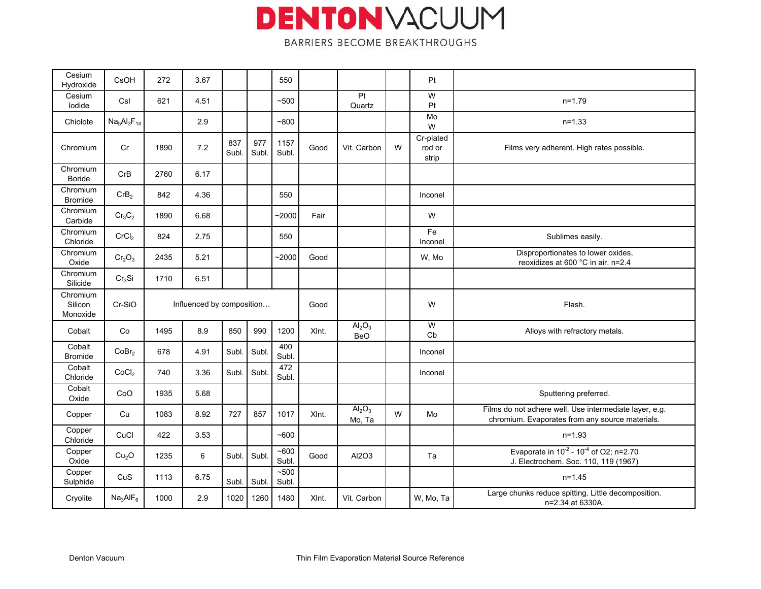| Cesium<br>Hydroxide             | CsOH                           | 272  | 3.67                      |              |              | 550           |       |                                              |   | Pt                           |                                                                                                           |
|---------------------------------|--------------------------------|------|---------------------------|--------------|--------------|---------------|-------|----------------------------------------------|---|------------------------------|-----------------------------------------------------------------------------------------------------------|
| Cesium<br>lodide                | Csl                            | 621  | 4.51                      |              |              | ~100          |       | Pt<br>Quartz                                 |   | W<br>Pt                      | $n=1.79$                                                                                                  |
| Chiolote                        | $Na5Al3F14$                    |      | 2.9                       |              |              | $-800$        |       |                                              |   | Mo<br>W                      | $n=1.33$                                                                                                  |
| Chromium                        | Cr                             | 1890 | 7.2                       | 837<br>Subl. | 977<br>Subl. | 1157<br>Subl. | Good  | Vit. Carbon                                  | W | Cr-plated<br>rod or<br>strip | Films very adherent. High rates possible.                                                                 |
| Chromium<br><b>Boride</b>       | CrB                            | 2760 | 6.17                      |              |              |               |       |                                              |   |                              |                                                                                                           |
| Chromium<br><b>Bromide</b>      | CrB <sub>2</sub>               | 842  | 4.36                      |              |              | 550           |       |                                              |   | Inconel                      |                                                                                                           |
| Chromium<br>Carbide             | $Cr_3C_2$                      | 1890 | 6.68                      |              |              | ~2000         | Fair  |                                              |   | W                            |                                                                                                           |
| Chromium<br>Chloride            | CrCl <sub>2</sub>              | 824  | 2.75                      |              |              | 550           |       |                                              |   | Fe<br>Inconel                | Sublimes easily.                                                                                          |
| Chromium<br>Oxide               | Cr <sub>2</sub> O <sub>3</sub> | 2435 | 5.21                      |              |              | $-2000$       | Good  |                                              |   | W, Mo                        | Disproportionates to lower oxides,<br>reoxidizes at 600 °C in air. n=2.4                                  |
| Chromium<br>Silicide            | Cr <sub>3</sub> Si             | 1710 | 6.51                      |              |              |               |       |                                              |   |                              |                                                                                                           |
|                                 |                                |      |                           |              |              |               |       |                                              |   |                              |                                                                                                           |
| Chromium<br>Silicon<br>Monoxide | Cr-SiO                         |      | Influenced by composition |              |              |               | Good  |                                              |   | W                            | Flash.                                                                                                    |
| Cobalt                          | Co                             | 1495 | 8.9                       | 850          | 990          | 1200          | XInt. | Al <sub>2</sub> O <sub>3</sub><br><b>BeO</b> |   | W<br>Cb                      | Alloys with refractory metals.                                                                            |
| Cobalt<br><b>Bromide</b>        | CoBr <sub>2</sub>              | 678  | 4.91                      | Subl.        | Subl         | 400<br>Subl.  |       |                                              |   | Inconel                      |                                                                                                           |
| Cobalt<br>Chloride              | CoCl <sub>2</sub>              | 740  | 3.36                      | Subl.        | Subl         | 472<br>Subl.  |       |                                              |   | Inconel                      |                                                                                                           |
| Cobalt<br>Oxide                 | CoO                            | 1935 | 5.68                      |              |              |               |       |                                              |   |                              | Sputtering preferred.                                                                                     |
| Copper                          | Cu                             | 1083 | 8.92                      | 727          | 857          | 1017          | XInt. | Al <sub>2</sub> O <sub>3</sub><br>Mo, Ta     | W | Mo                           | Films do not adhere well. Use intermediate layer, e.g.<br>chromium. Evaporates from any source materials. |
| Copper<br>Chloride              | CuCl                           | 422  | 3.53                      |              |              | ~1600         |       |                                              |   |                              | $n = 1.93$                                                                                                |
| Copper<br>Oxide                 | Cu <sub>2</sub> O              | 1235 | 6                         | Subl.        | Subl         | ~100<br>Subl. | Good  | AI2O3                                        |   | Ta                           | Evaporate in $10^{-2}$ - $10^{-4}$ of O2; n=2.70<br>J. Electrochem. Soc. 110, 119 (1967)                  |
| Copper<br>Sulphide              | CuS                            | 1113 | 6.75                      | Subl.        | Subl         | ~500<br>Subl. |       |                                              |   |                              | $n = 1.45$                                                                                                |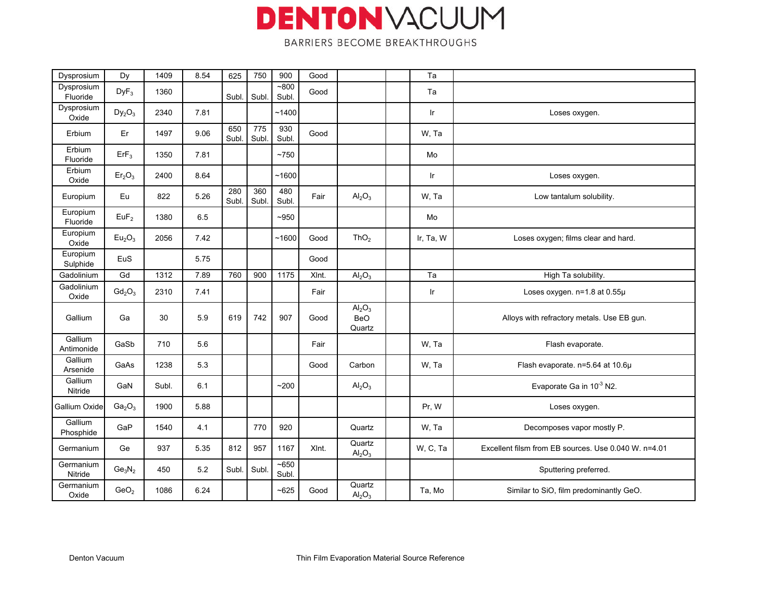| Dysprosium             | Dy                             | 1409  | 8.54 | 625          | 750                     | 900             | Good  |                                                        | Ta        |                                                      |
|------------------------|--------------------------------|-------|------|--------------|-------------------------|-----------------|-------|--------------------------------------------------------|-----------|------------------------------------------------------|
| Dysprosium<br>Fluoride | $DyF_3$                        | 1360  |      | Subl.        | Subl                    | $-800$<br>Subl. | Good  |                                                        | Ta        |                                                      |
| Dysprosium<br>Oxide    | $Dy_2O_3$                      | 2340  | 7.81 |              |                         | ~1400           |       |                                                        | Ir        | Loses oxygen.                                        |
| Erbium                 | Er                             | 1497  | 9.06 | 650<br>Subl. | $\frac{1}{775}$<br>Subl | 930<br>Subl.    | Good  |                                                        | W, Ta     |                                                      |
| Erbium<br>Fluoride     | ErF <sub>3</sub>               | 1350  | 7.81 |              |                         | ~1750           |       |                                                        | Mo        |                                                      |
| Erbium<br>Oxide        | Er <sub>2</sub> O <sub>3</sub> | 2400  | 8.64 |              |                         | ~1600           |       |                                                        | Ir        | Loses oxygen.                                        |
| Europium               | Eu                             | 822   | 5.26 | 280<br>Subl. | 360<br>Subl.            | 480<br>Subl.    | Fair  | Al <sub>2</sub> O <sub>3</sub>                         | W, Ta     | Low tantalum solubility.                             |
| Europium<br>Fluoride   | EuF <sub>2</sub>               | 1380  | 6.5  |              |                         | $-950$          |       |                                                        | Mo        |                                                      |
| Europium<br>Oxide      | Eu <sub>2</sub> O <sub>3</sub> | 2056  | 7.42 |              |                         | ~1600           | Good  | ThO <sub>2</sub>                                       | Ir, Ta, W | Loses oxygen; films clear and hard.                  |
| Europium<br>Sulphide   | EuS                            |       | 5.75 |              |                         |                 | Good  |                                                        |           |                                                      |
| Gadolinium             | Gd                             | 1312  | 7.89 | 760          | 900                     | 1175            | XInt. | Al <sub>2</sub> O <sub>3</sub>                         | Ta        | High Ta solubility.                                  |
| Gadolinium<br>Oxide    | $Gd_2O_3$                      | 2310  | 7.41 |              |                         |                 | Fair  |                                                        | Ir        | Loses oxygen. n=1.8 at 0.55µ                         |
| Gallium                | Ga                             | 30    | 5.9  | 619          | 742                     | 907             | Good  | Al <sub>2</sub> O <sub>3</sub><br><b>BeO</b><br>Quartz |           | Alloys with refractory metals. Use EB gun.           |
| Gallium<br>Antimonide  | GaSb                           | 710   | 5.6  |              |                         |                 | Fair  |                                                        | W, Ta     | Flash evaporate.                                     |
| Gallium<br>Arsenide    | GaAs                           | 1238  | 5.3  |              |                         |                 | Good  | Carbon                                                 | W, Ta     | Flash evaporate. n=5.64 at 10.6µ                     |
| Gallium<br>Nitride     | GaN                            | Subl. | 6.1  |              |                         | ~200            |       | $\text{Al}_2\text{O}_3$                                |           | Evaporate Ga in 10 <sup>-3</sup> N2.                 |
| Gallium Oxide          | Ga <sub>2</sub> O <sub>3</sub> | 1900  | 5.88 |              |                         |                 |       |                                                        | Pr, W     | Loses oxygen.                                        |
| Gallium<br>Phosphide   | GaP                            | 1540  | 4.1  |              | 770                     | 920             |       | Quartz                                                 | W, Ta     | Decomposes vapor mostly P.                           |
| Germanium              | Ge                             | 937   | 5.35 | 812          | 957                     | 1167            | XInt. | Quartz<br>Al <sub>2</sub> O <sub>3</sub>               | W, C, Ta  | Excellent filsm from EB sources. Use 0.040 W. n=4.01 |
| Germanium<br>Nitride   | $Ge_3N_2$                      | 450   | 5.2  | Subl.        | Subl                    | ~5650<br>Subl.  |       |                                                        |           | Sputtering preferred.                                |
| Germanium<br>Oxide     | GeO <sub>2</sub>               | 1086  | 6.24 |              |                         | $-625$          | Good  | Quartz<br>$\mathsf{Al}_2\mathsf{O}_3$                  | Ta, Mo    | Similar to SiO, film predominantly GeO.              |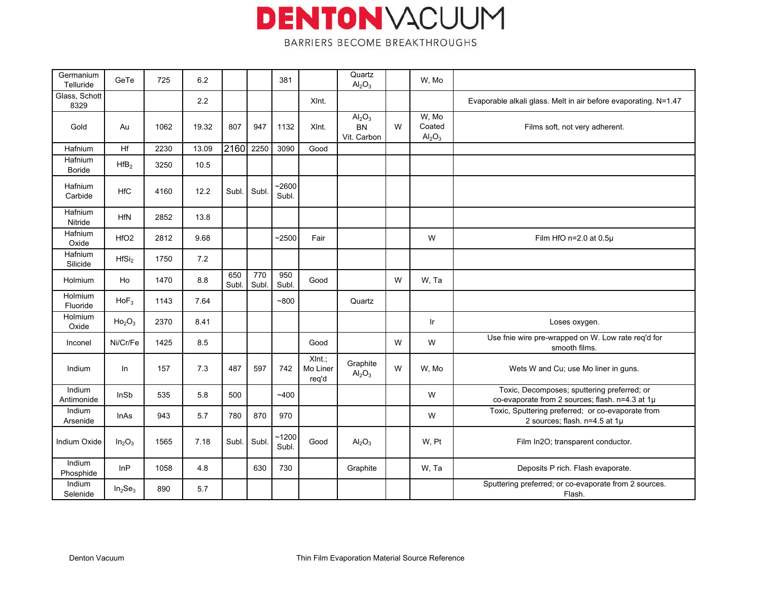| Germanium<br>Telluride | GeTe                            | 725  | 6.2   |              |              | 381              |                                | Quartz<br>$\text{Al}_2\text{O}_3$                   |   | W. Mo                                      |                                                                                                |
|------------------------|---------------------------------|------|-------|--------------|--------------|------------------|--------------------------------|-----------------------------------------------------|---|--------------------------------------------|------------------------------------------------------------------------------------------------|
| Glass, Schott<br>8329  |                                 |      | 2.2   |              |              |                  | XInt.                          |                                                     |   |                                            | Evaporable alkali glass. Melt in air before evaporating. N=1.47                                |
| Gold                   | Au                              | 1062 | 19.32 | 807          | 947          | 1132             | XInt.                          | $\text{Al}_2\text{O}_3$<br><b>BN</b><br>Vit. Carbon | W | W, Mo<br>Coated<br>$\text{Al}_2\text{O}_3$ | Films soft, not very adherent.                                                                 |
| Hafnium                | Hf                              | 2230 | 13.09 | 2160         | 2250         | 3090             | Good                           |                                                     |   |                                            |                                                                                                |
| Hafnium<br>Boride      | HfB <sub>2</sub>                | 3250 | 10.5  |              |              |                  |                                |                                                     |   |                                            |                                                                                                |
| Hafnium<br>Carbide     | <b>HfC</b>                      | 4160 | 12.2  | Subl.        | Subl         | $-2600$<br>Subl. |                                |                                                     |   |                                            |                                                                                                |
| Hafnium<br>Nitride     | <b>HfN</b>                      | 2852 | 13.8  |              |              |                  |                                |                                                     |   |                                            |                                                                                                |
| Hafnium<br>Oxide       | HfO <sub>2</sub>                | 2812 | 9.68  |              |              | $-2500$          | Fair                           |                                                     |   | W                                          | Film HfO n=2.0 at 0.5µ                                                                         |
| Hafnium<br>Silicide    | HfSi <sub>2</sub>               | 1750 | 7.2   |              |              |                  |                                |                                                     |   |                                            |                                                                                                |
| Holmium                | Ho                              | 1470 | 8.8   | 650<br>Subl. | 770<br>Subl. | 950<br>Subl.     | Good                           |                                                     | W | W, Ta                                      |                                                                                                |
| Holmium<br>Fluoride    | $HoF_3$                         | 1143 | 7.64  |              |              | ~100             |                                | Quartz                                              |   |                                            |                                                                                                |
| Holmium<br>Oxide       | Ho <sub>2</sub> O <sub>3</sub>  | 2370 | 8.41  |              |              |                  |                                |                                                     |   | Ir.                                        | Loses oxygen.                                                                                  |
| Inconel                | Ni/Cr/Fe                        | 1425 | 8.5   |              |              |                  | Good                           |                                                     | W | W                                          | Use fnie wire pre-wrapped on W. Low rate req'd for<br>smooth films.                            |
| Indium                 | In                              | 157  | 7.3   | 487          | 597          | 742              | $XInt.$ ;<br>Mo Liner<br>req'd | Graphite<br>Al <sub>2</sub> O <sub>3</sub>          | W | W, Mo                                      | Wets W and Cu; use Mo liner in guns.                                                           |
| Indium<br>Antimonide   | InSb                            | 535  | 5.8   | 500          |              | ~1400            |                                |                                                     |   | W                                          | Toxic, Decomposes; sputtering preferred; or<br>co-evaporate from 2 sources; flash. n=4.3 at 1µ |
| Indium<br>Arsenide     | <b>InAs</b>                     | 943  | 5.7   | 780          | 870          | 970              |                                |                                                     |   | W                                          | Toxic, Sputtering preferred; or co-evaporate from<br>2 sources; flash. n=4.5 at 1µ             |
| Indium Oxide           | In <sub>2</sub> O <sub>3</sub>  | 1565 | 7.18  | Subl.        | Subl         | ~1200<br>Subl.   | Good                           | Al <sub>2</sub> O <sub>3</sub>                      |   | W, Pt                                      | Film In2O; transparent conductor.                                                              |
| Indium<br>Phosphide    | InP                             | 1058 | 4.8   |              | 630          | 730              |                                | Graphite                                            |   | W, Ta                                      | Deposits P rich. Flash evaporate.                                                              |
| Indium<br>Selenide     | In <sub>2</sub> Se <sub>3</sub> | 890  | 5.7   |              |              |                  |                                |                                                     |   |                                            | Sputtering preferred; or co-evaporate from 2 sources.<br>Flash.                                |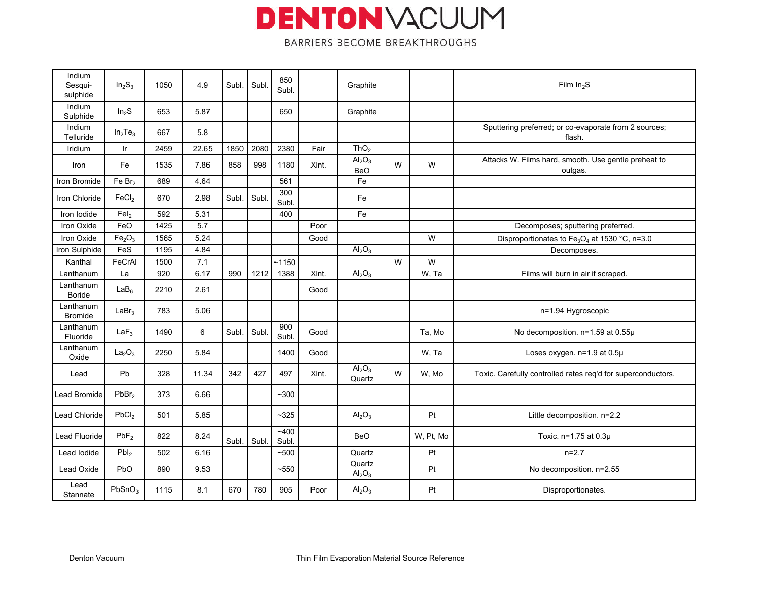| Indium<br>Sesqui-<br>sulphide | $In_2S_3$                      | 1050 | 4.9   | Subl. | Subl  | 850<br>Subl.   |       | Graphite                                     |   |           | Film $In2S$                                                           |
|-------------------------------|--------------------------------|------|-------|-------|-------|----------------|-------|----------------------------------------------|---|-----------|-----------------------------------------------------------------------|
| Indium<br>Sulphide            | In <sub>2</sub> S              | 653  | 5.87  |       |       | 650            |       | Graphite                                     |   |           |                                                                       |
| Indium<br>Telluride           | $In_2Te_3$                     | 667  | 5.8   |       |       |                |       |                                              |   |           | Sputtering preferred; or co-evaporate from 2 sources;<br>flash.       |
| Iridium                       | $\mathsf{I}$ r                 | 2459 | 22.65 | 1850  | 2080  | 2380           | Fair  | ThO <sub>2</sub>                             |   |           |                                                                       |
| Iron                          | Fe                             | 1535 | 7.86  | 858   | 998   | 1180           | XInt. | Al <sub>2</sub> O <sub>3</sub><br><b>BeO</b> | W | W         | Attacks W. Films hard, smooth. Use gentle preheat to<br>outgas.       |
| Iron Bromide                  | Fe Br <sub>2</sub>             | 689  | 4.64  |       |       | 561            |       | Fe                                           |   |           |                                                                       |
| Iron Chloride                 | FeCl <sub>2</sub>              | 670  | 2.98  | Subl. | Subl  | 300<br>Subl.   |       | Fe                                           |   |           |                                                                       |
| Iron Iodide                   | FeI <sub>2</sub>               | 592  | 5.31  |       |       | 400            |       | Fe                                           |   |           |                                                                       |
| Iron Oxide                    | FeO                            | 1425 | 5.7   |       |       |                | Poor  |                                              |   |           | Decomposes; sputtering preferred.                                     |
| Iron Oxide                    | Fe <sub>2</sub> O <sub>3</sub> | 1565 | 5.24  |       |       |                | Good  |                                              |   | W         | Disproportionates to Fe <sub>3</sub> O <sub>4</sub> at 1530 °C, n=3.0 |
| Iron Sulphide                 | FeS                            | 1195 | 4.84  |       |       |                |       | Al <sub>2</sub> O <sub>3</sub>               |   |           | Decomposes.                                                           |
| Kanthal                       | FeCrAl                         | 1500 | 7.1   |       |       | ~1150          |       |                                              | W | W         |                                                                       |
| Lanthanum                     | La                             | 920  | 6.17  | 990   | 1212  | 1388           | XInt. | $\text{Al}_2\text{O}_3$                      |   | W, Ta     | Films will burn in air if scraped.                                    |
| Lanthanum<br><b>Boride</b>    | LaB <sub>6</sub>               | 2210 | 2.61  |       |       |                | Good  |                                              |   |           |                                                                       |
| Lanthanum<br><b>Bromide</b>   | LaBr <sub>3</sub>              | 783  | 5.06  |       |       |                |       |                                              |   |           | n=1.94 Hygroscopic                                                    |
| Lanthanum<br>Fluoride         | LaF <sub>3</sub>               | 1490 | 6     | Subl. | Subl. | 900<br>Subl    | Good  |                                              |   | Ta, Mo    | No decomposition. n=1.59 at 0.55µ                                     |
| Lanthanum<br>Oxide            | La <sub>2</sub> O <sub>3</sub> | 2250 | 5.84  |       |       | 1400           | Good  |                                              |   | W, Ta     | Loses oxygen. n=1.9 at 0.5µ                                           |
| Lead                          | Pb                             | 328  | 11.34 | 342   | 427   | 497            | XInt. | $\overline{Al_2O_3}$<br>Quartz               | W | W. Mo     | Toxic. Carefully controlled rates req'd for superconductors.          |
| Lead Bromide                  | PbBr <sub>2</sub>              | 373  | 6.66  |       |       | $~1$ - 300     |       |                                              |   |           |                                                                       |
| Lead Chloride                 | PbCl <sub>2</sub>              | 501  | 5.85  |       |       | $~1$ - 325     |       | $\text{Al}_2\text{O}_3$                      |   | Pt        | Little decomposition. n=2.2                                           |
| Lead Fluoride                 | PbF <sub>2</sub>               | 822  | 8.24  | Subl. | Subl. | ~1400<br>Subl. |       | <b>BeO</b>                                   |   | W, Pt, Mo | Toxic. n=1.75 at 0.3µ                                                 |
| Lead lodide                   | Pbl <sub>2</sub>               | 502  | 6.16  |       |       | ~100           |       | Quartz                                       |   | Pt        | $n=2.7$                                                               |
| Lead Oxide                    | PbO                            | 890  | 9.53  |       |       | ~550           |       | Quartz<br>Al <sub>2</sub> O <sub>3</sub>     |   | Pt        | No decomposition. n=2.55                                              |
| Lead<br>Stannate              | PbSnO <sub>3</sub>             | 1115 | 8.1   | 670   | 780   | 905            | Poor  | Al <sub>2</sub> O <sub>3</sub>               |   | Pt        | Disproportionates.                                                    |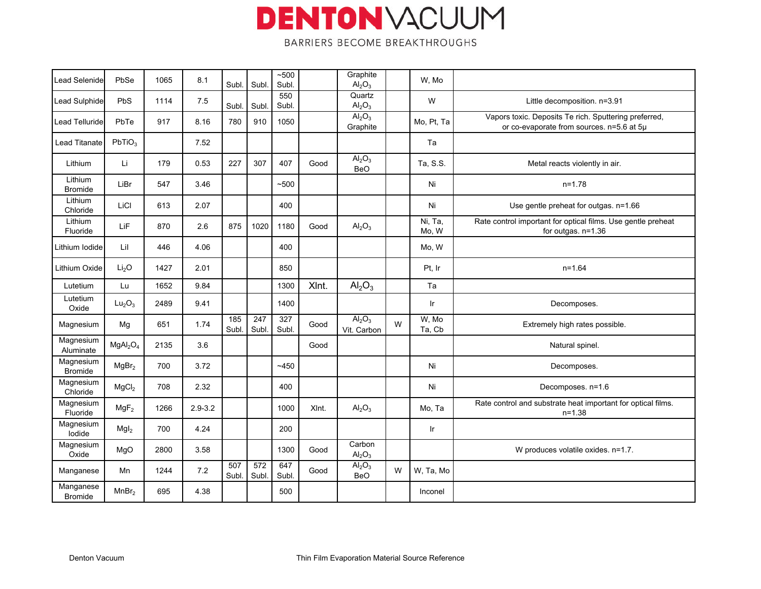| Lead Selenide               | PbSe                             | 1065 | 8.1         | Subl.        | Subl                      | ~100<br>Subl. |       | Graphite<br>Al <sub>2</sub> O <sub>3</sub>    |   | W, Mo            |                                                                                                    |
|-----------------------------|----------------------------------|------|-------------|--------------|---------------------------|---------------|-------|-----------------------------------------------|---|------------------|----------------------------------------------------------------------------------------------------|
| <b>Lead Sulphide</b>        | <b>PbS</b>                       | 1114 | 7.5         | Subl.        | Subl                      | 550<br>Subl.  |       | Quartz<br>Al <sub>2</sub> O <sub>3</sub>      |   | W                | Little decomposition. n=3.91                                                                       |
| <b>Lead Telluride</b>       | PbTe                             | 917  | 8.16        | 780          | 910                       | 1050          |       | $\overline{Al_2O_3}$<br>Graphite              |   | Mo, Pt, Ta       | Vapors toxic. Deposits Te rich. Sputtering preferred,<br>or co-evaporate from sources. n=5.6 at 5µ |
| <b>Lead Titanate</b>        | PbTiO <sub>3</sub>               |      | 7.52        |              |                           |               |       |                                               |   | Ta               |                                                                                                    |
| Lithium                     | Li                               | 179  | 0.53        | 227          | 307                       | 407           | Good  | $\overline{Al_2O_3}$<br><b>BeO</b>            |   | Ta, S.S.         | Metal reacts violently in air.                                                                     |
| Lithium<br><b>Bromide</b>   | LiBr                             | 547  | 3.46        |              |                           | ~100          |       |                                               |   | Ni               | $n = 1.78$                                                                                         |
| Lithium<br>Chloride         | LiCl                             | 613  | 2.07        |              |                           | 400           |       |                                               |   | Ni               | Use gentle preheat for outgas. n=1.66                                                              |
| Lithium<br>Fluoride         | LiF                              | 870  | 2.6         | 875          | 1020                      | 1180          | Good  | Al <sub>2</sub> O <sub>3</sub>                |   | Ni, Ta,<br>Mo, W | Rate control important for optical films. Use gentle preheat<br>for outgas. n=1.36                 |
| ithium lodide               | Lil                              | 446  | 4.06        |              |                           | 400           |       |                                               |   | Mo, W            |                                                                                                    |
| Lithium Oxide               | Li <sub>2</sub> O                | 1427 | 2.01        |              |                           | 850           |       |                                               |   | Pt, Ir           | $n = 1.64$                                                                                         |
| Lutetium                    | Lu                               | 1652 | 9.84        |              |                           | 1300          | XInt. | $\text{Al}_2\text{O}_3$                       |   | Ta               |                                                                                                    |
| Lutetium<br>Oxide           | Lu <sub>2</sub> O <sub>3</sub>   | 2489 | 9.41        |              |                           | 1400          |       |                                               |   | Ir               | Decomposes.                                                                                        |
| Magnesium                   | Mg                               | 651  | 1.74        | 185<br>Subl. | $\overline{247}$<br>Subl. | 327<br>Subl.  | Good  | Al <sub>2</sub> O <sub>3</sub><br>Vit. Carbon | W | W, Mo<br>Ta, Cb  | Extremely high rates possible.                                                                     |
| Magnesium<br>Aluminate      | MgAl <sub>2</sub> O <sub>4</sub> | 2135 | 3.6         |              |                           |               | Good  |                                               |   |                  | Natural spinel.                                                                                    |
| Magnesium<br><b>Bromide</b> | MgBr <sub>2</sub>                | 700  | 3.72        |              |                           | ~1450         |       |                                               |   | Ni               | Decomposes.                                                                                        |
| Magnesium<br>Chloride       | MgCl <sub>2</sub>                | 708  | 2.32        |              |                           | 400           |       |                                               |   | Ni               | Decomposes. n=1.6                                                                                  |
| Magnesium<br>Fluoride       | MgF <sub>2</sub>                 | 1266 | $2.9 - 3.2$ |              |                           | 1000          | XInt. | Al <sub>2</sub> O <sub>3</sub>                |   | Mo, Ta           | Rate control and substrate heat important for optical films.<br>$n = 1.38$                         |
| Magnesium<br>lodide         | Mgl <sub>2</sub>                 | 700  | 4.24        |              |                           | 200           |       |                                               |   | Ir               |                                                                                                    |
| Magnesium<br>Oxide          | MgO                              | 2800 | 3.58        |              |                           | 1300          | Good  | Carbon<br>$\text{Al}_2\text{O}_3$             |   |                  | W produces volatile oxides. n=1.7.                                                                 |
| Manganese                   | Mn                               | 1244 | 7.2         | 507<br>Subl. | 572<br>Subl.              | 647<br>Subl.  | Good  | $\overline{Al_2O_3}$<br><b>BeO</b>            | W | W, Ta, Mo        |                                                                                                    |
| Manganese<br><b>Bromide</b> | MnBr <sub>2</sub>                | 695  | 4.38        |              |                           | 500           |       |                                               |   | Inconel          |                                                                                                    |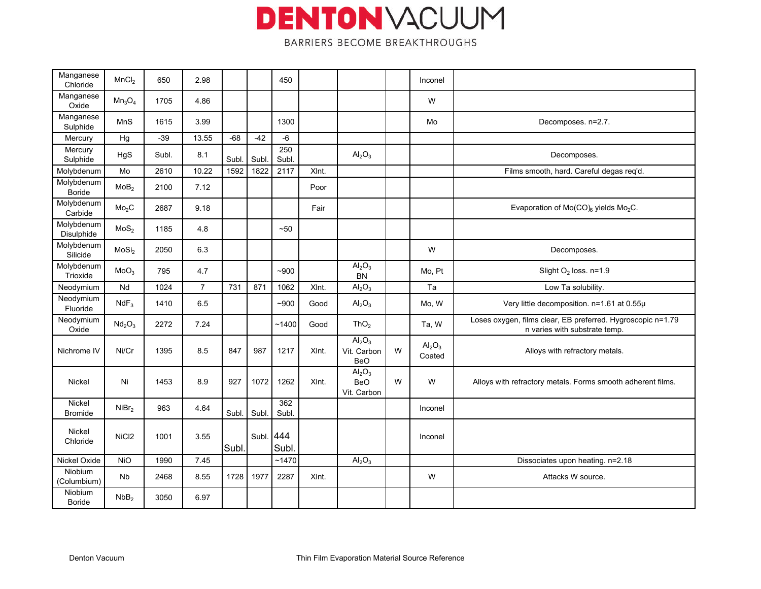| Manganese<br>Chloride     | MnCl <sub>2</sub>              | 650   | 2.98           |       |       | 450          |       |                                                             |   | Inconel                               |                                                                                              |
|---------------------------|--------------------------------|-------|----------------|-------|-------|--------------|-------|-------------------------------------------------------------|---|---------------------------------------|----------------------------------------------------------------------------------------------|
| Manganese<br>Oxide        | $Mn_3O_4$                      | 1705  | 4.86           |       |       |              |       |                                                             |   | W                                     |                                                                                              |
| Manganese<br>Sulphide     | MnS                            | 1615  | 3.99           |       |       | 1300         |       |                                                             |   | Mo                                    | Decomposes. n=2.7.                                                                           |
| Mercury                   | Hg                             | $-39$ | 13.55          | $-68$ | $-42$ | $-6$         |       |                                                             |   |                                       |                                                                                              |
| Mercury<br>Sulphide       | HgS                            | Subl. | 8.1            | Subl  | Subl  | 250<br>Subl. |       | $\text{Al}_2\text{O}_3$                                     |   |                                       | Decomposes.                                                                                  |
| Molybdenum                | Mo                             | 2610  | 10.22          | 1592  | 1822  | 2117         | XInt. |                                                             |   |                                       | Films smooth, hard. Careful degas req'd.                                                     |
| Molybdenum<br>Boride      | MoB <sub>2</sub>               | 2100  | 7.12           |       |       |              | Poor  |                                                             |   |                                       |                                                                                              |
| Molybdenum<br>Carbide     | Mo <sub>2</sub> C              | 2687  | 9.18           |       |       |              | Fair  |                                                             |   |                                       | Evaporation of Mo(CO) <sub>6</sub> yields Mo <sub>2</sub> C.                                 |
| Molybdenum<br>Disulphide  | MoS <sub>2</sub>               | 1185  | 4.8            |       |       | $-50$        |       |                                                             |   |                                       |                                                                                              |
| Molybdenum<br>Silicide    | MoSi <sub>2</sub>              | 2050  | 6.3            |       |       |              |       |                                                             |   | W                                     | Decomposes.                                                                                  |
| Molybdenum<br>Trioxide    | MoO <sub>3</sub>               | 795   | 4.7            |       |       | $-900$       |       | Al <sub>2</sub> O <sub>3</sub><br><b>BN</b>                 |   | Mo, Pt                                | Slight $O2$ loss. n=1.9                                                                      |
| Neodymium                 | Nd                             | 1024  | $\overline{7}$ | 731   | 871   | 1062         | XInt. | Al <sub>2</sub> O <sub>3</sub>                              |   | Ta                                    | Low Ta solubility.                                                                           |
| Neodymium<br>Fluoride     | $NdF_3$                        | 1410  | 6.5            |       |       | $-900$       | Good  | Al <sub>2</sub> O <sub>3</sub>                              |   | Mo, W                                 | Very little decomposition. n=1.61 at 0.55µ                                                   |
| Neodymium<br>Oxide        | Nd <sub>2</sub> O <sub>3</sub> | 2272  | 7.24           |       |       | ~1400        | Good  | ThO <sub>2</sub>                                            |   | Ta, W                                 | Loses oxygen, films clear, EB preferred. Hygroscopic n=1.79<br>n varies with substrate temp. |
| Nichrome IV               | Ni/Cr                          | 1395  | 8.5            | 847   | 987   | 1217         | XInt. | Al <sub>2</sub> O <sub>3</sub><br>Vit. Carbon<br><b>BeO</b> | W | $\mathsf{Al}_2\mathsf{O}_3$<br>Coated | Alloys with refractory metals.                                                               |
| Nickel                    | Ni                             | 1453  | 8.9            | 927   | 1072  | 1262         | XInt. | Al <sub>2</sub> O <sub>3</sub><br><b>BeO</b><br>Vit. Carbon | W | W                                     | Alloys with refractory metals. Forms smooth adherent films.                                  |
| Nickel<br><b>Bromide</b>  | NiBr <sub>2</sub>              | 963   | 4.64           | Subl. | Subl  | 362<br>Subl. |       |                                                             |   | Inconel                               |                                                                                              |
| <b>Nickel</b><br>Chloride | NiCl <sub>2</sub>              | 1001  | 3.55           | Subl. | Subl. | 444<br>Subl  |       |                                                             |   | Inconel                               |                                                                                              |
| Nickel Oxide              | <b>NiO</b>                     | 1990  | 7.45           |       |       | ~1470        |       | Al <sub>2</sub> O <sub>3</sub>                              |   |                                       | Dissociates upon heating. n=2.18                                                             |
| Niobium<br>(Columbium)    | Nb                             | 2468  | 8.55           | 1728  | 1977  | 2287         | XInt. |                                                             |   | W                                     | Attacks W source.                                                                            |
| Niobium<br><b>Boride</b>  | NbB <sub>2</sub>               | 3050  | 6.97           |       |       |              |       |                                                             |   |                                       |                                                                                              |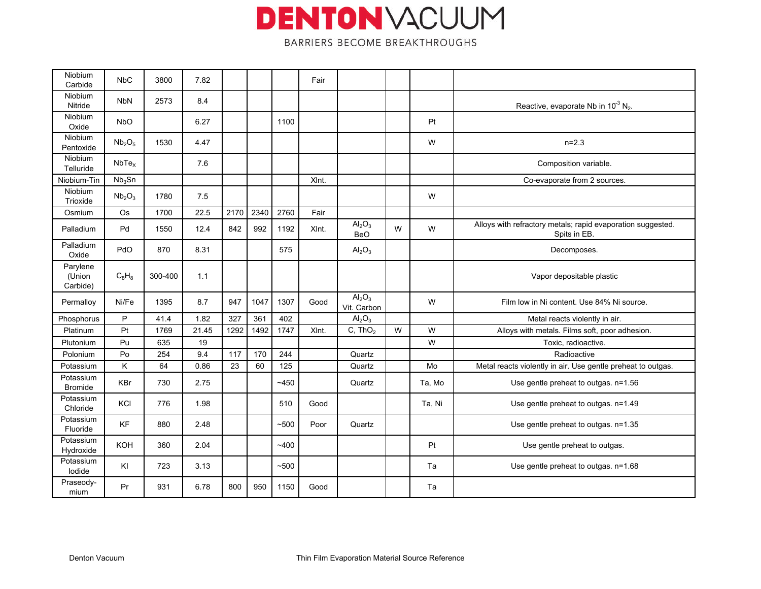| Niobium<br>Carbide             | <b>NbC</b>                     | 3800    | 7.82  |      |      |       | Fair  |                                       |   |        |                                                                             |
|--------------------------------|--------------------------------|---------|-------|------|------|-------|-------|---------------------------------------|---|--------|-----------------------------------------------------------------------------|
| Niobium<br>Nitride             | <b>NbN</b>                     | 2573    | 8.4   |      |      |       |       |                                       |   |        | Reactive, evaporate Nb in $10^{-3}$ N <sub>2</sub> .                        |
| <b>Niobium</b><br>Oxide        | <b>NbO</b>                     |         | 6.27  |      |      | 1100  |       |                                       |   | Pt     |                                                                             |
| <b>Niobium</b><br>Pentoxide    | Nb <sub>2</sub> O <sub>5</sub> | 1530    | 4.47  |      |      |       |       |                                       |   | W      | $n=2.3$                                                                     |
| <b>Niobium</b><br>Telluride    | NbTe <sub>x</sub>              |         | 7.6   |      |      |       |       |                                       |   |        | Composition variable.                                                       |
| Niobium-Tin                    | Nb <sub>3</sub> Sn             |         |       |      |      |       | XInt. |                                       |   |        | Co-evaporate from 2 sources.                                                |
| <b>Niobium</b><br>Trioxide     | Nb <sub>2</sub> O <sub>3</sub> | 1780    | 7.5   |      |      |       |       |                                       |   | W      |                                                                             |
| Osmium                         | <b>Os</b>                      | 1700    | 22.5  | 2170 | 2340 | 2760  | Fair  |                                       |   |        |                                                                             |
| Palladium                      | Pd                             | 1550    | 12.4  | 842  | 992  | 1192  | XInt. | $\text{Al}_2\text{O}_3$<br><b>BeO</b> | W | W      | Alloys with refractory metals; rapid evaporation suggested.<br>Spits in EB. |
| Palladium<br>Oxide             | PdO                            | 870     | 8.31  |      |      | 575   |       | Al <sub>2</sub> O <sub>3</sub>        |   |        | Decomposes.                                                                 |
| Parylene<br>(Union<br>Carbide) | $C_8H_8$                       | 300-400 | 1.1   |      |      |       |       |                                       |   |        | Vapor depositable plastic                                                   |
| Permallov                      | Ni/Fe                          | 1395    | 8.7   | 947  | 1047 | 1307  | Good  | $\overline{Al_2O_3}$<br>Vit. Carbon   |   | W      | Film low in Ni content. Use 84% Ni source.                                  |
| Phosphorus                     | P                              | 41.4    | 1.82  | 327  | 361  | 402   |       | $\mathsf{Al}_2\mathsf{O}_3$           |   |        | Metal reacts violently in air.                                              |
| Platinum                       | Pt                             | 1769    | 21.45 | 1292 | 1492 | 1747  | XInt. | C, ThO <sub>2</sub>                   | W | W      | Alloys with metals. Films soft, poor adhesion.                              |
| Plutonium                      | Pu                             | 635     | 19    |      |      |       |       |                                       |   | W      | Toxic, radioactive.                                                         |
| Polonium                       | Po                             | 254     | 9.4   | 117  | 170  | 244   |       | Quartz                                |   |        | Radioactive                                                                 |
| Potassium                      | Κ                              | 64      | 0.86  | 23   | 60   | 125   |       | Quartz                                |   | Mo     | Metal reacts violently in air. Use gentle preheat to outgas.                |
| Potassium<br><b>Bromide</b>    | <b>KBr</b>                     | 730     | 2.75  |      |      | ~1450 |       | Quartz                                |   | Ta, Mo | Use gentle preheat to outgas. n=1.56                                        |
| Potassium<br>Chloride          | KCI                            | 776     | 1.98  |      |      | 510   | Good  |                                       |   | Ta. Ni | Use gentle preheat to outgas. n=1.49                                        |
| Potassium<br>Fluoride          | <b>KF</b>                      | 880     | 2.48  |      |      | ~500  | Poor  | Quartz                                |   |        | Use gentle preheat to outgas. n=1.35                                        |
| Potassium<br>Hydroxide         | <b>KOH</b>                     | 360     | 2.04  |      |      | ~1400 |       |                                       |   | Pt     | Use gentle preheat to outgas.                                               |
| Potassium<br>lodide            | KI                             | 723     | 3.13  |      |      | ~100  |       |                                       |   | Ta     | Use gentle preheat to outgas. n=1.68                                        |
| Praseody-<br>mium              | Pr                             | 931     | 6.78  | 800  | 950  | 1150  | Good  |                                       |   | Ta     |                                                                             |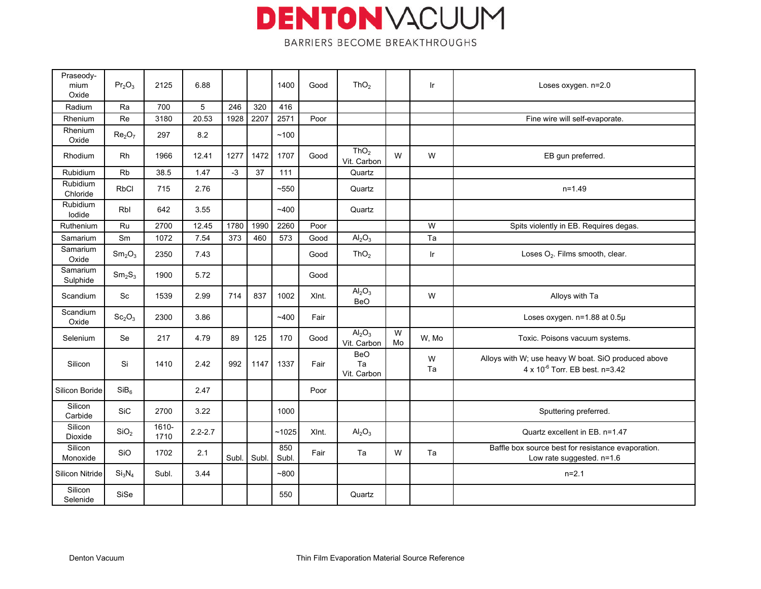| Praseody-<br>mium<br>Oxide | Pr <sub>2</sub> O <sub>3</sub> | 2125          | 6.88        |       |       | 1400         | Good  | ThO <sub>2</sub>                      |         | Ir      | Loses oxygen. n=2.0                                                                             |
|----------------------------|--------------------------------|---------------|-------------|-------|-------|--------------|-------|---------------------------------------|---------|---------|-------------------------------------------------------------------------------------------------|
| Radium                     | Ra                             | 700           | 5           | 246   | 320   | 416          |       |                                       |         |         |                                                                                                 |
| Rhenium                    | Re                             | 3180          | 20.53       | 1928  | 2207  | 2571         | Poor  |                                       |         |         | Fine wire will self-evaporate.                                                                  |
| Rhenium<br>Oxide           | Re <sub>2</sub> O <sub>7</sub> | 297           | 8.2         |       |       | ~100         |       |                                       |         |         |                                                                                                 |
| Rhodium                    | Rh                             | 1966          | 12.41       | 1277  | 1472  | 1707         | Good  | ThO <sub>2</sub><br>Vit. Carbon       | W       | W       | EB gun preferred.                                                                               |
| <b>Rubidium</b>            | <b>Rb</b>                      | 38.5          | 1.47        | $-3$  | 37    | 111          |       | Quartz                                |         |         |                                                                                                 |
| Rubidium<br>Chloride       | <b>RbCl</b>                    | 715           | 2.76        |       |       | $~10-550$    |       | Quartz                                |         |         | $n = 1.49$                                                                                      |
| Rubidium<br>lodide         | Rbl                            | 642           | 3.55        |       |       | ~1400        |       | Quartz                                |         |         |                                                                                                 |
| Ruthenium                  | Ru                             | 2700          | 12.45       | 1780  | 1990  | 2260         | Poor  |                                       |         | W       | Spits violently in EB. Requires degas.                                                          |
| Samarium                   | Sm                             | 1072          | 7.54        | 373   | 460   | 573          | Good  | Al <sub>2</sub> O <sub>3</sub>        |         | Ta      |                                                                                                 |
| Samarium<br>Oxide          | Sm <sub>2</sub> O <sub>3</sub> | 2350          | 7.43        |       |       |              | Good  | ThO <sub>2</sub>                      |         | Ir      | Loses O <sub>2</sub> . Films smooth, clear.                                                     |
| Samarium<br>Sulphide       | Sm <sub>2</sub> S <sub>3</sub> | 1900          | 5.72        |       |       |              | Good  |                                       |         |         |                                                                                                 |
| Scandium                   | Sc                             | 1539          | 2.99        | 714   | 837   | 1002         | XInt. | $\text{Al}_2\text{O}_3$<br><b>BeO</b> |         | W       | Alloys with Ta                                                                                  |
| Scandium<br>Oxide          | Sc <sub>2</sub> O <sub>3</sub> | 2300          | 3.86        |       |       | ~1400        | Fair  |                                       |         |         | Loses oxygen. n=1.88 at 0.5µ                                                                    |
| Selenium                   | Se                             | 217           | 4.79        | 89    | 125   | 170          | Good  | $\overline{Al_2O_3}$<br>Vit. Carbon   | W<br>Mo | W. Mo   | Toxic. Poisons vacuum systems.                                                                  |
| Silicon                    | Si                             | 1410          | 2.42        | 992   | 1147  | 1337         | Fair  | <b>BeO</b><br>Ta<br>Vit. Carbon       |         | W<br>Ta | Alloys with W; use heavy W boat. SiO produced above<br>$4 \times 10^{-6}$ Torr. EB best. n=3.42 |
| Silicon Boride             | SiB <sub>6</sub>               |               | 2.47        |       |       |              | Poor  |                                       |         |         |                                                                                                 |
| Silicon<br>Carbide         | <b>SiC</b>                     | 2700          | 3.22        |       |       | 1000         |       |                                       |         |         | Sputtering preferred.                                                                           |
| Silicon<br>Dioxide         | SiO <sub>2</sub>               | 1610-<br>1710 | $2.2 - 2.7$ |       |       | ~1025        | XInt. | $\text{Al}_2\text{O}_3$               |         |         | Quartz excellent in EB. n=1.47                                                                  |
| Silicon<br>Monoxide        | <b>SiO</b>                     | 1702          | 2.1         | Subl. | Subl. | 850<br>Subl. | Fair  | Ta                                    | W       | Ta      | Baffle box source best for resistance evaporation.<br>Low rate suggested. n=1.6                 |
| Silicon Nitride            | Si <sub>3</sub> N <sub>4</sub> | Subl.         | 3.44        |       |       | $-800$       |       |                                       |         |         | $n=2.1$                                                                                         |
| Silicon<br>Selenide        | SiSe                           |               |             |       |       | 550          |       | Quartz                                |         |         |                                                                                                 |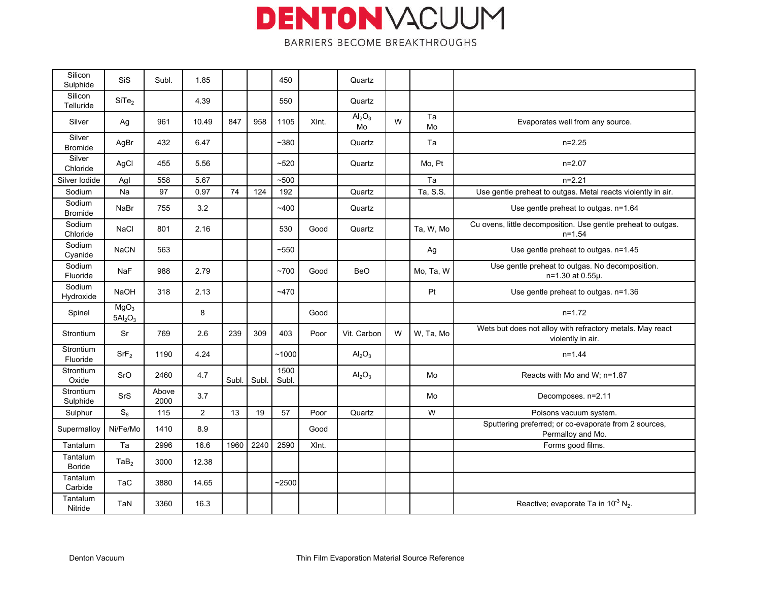| Silicon<br>Sulphide      | <b>SiS</b>                                          | Subl.         | 1.85  |       |       | 450           |       | Quartz                               |   |           |                                                                                |
|--------------------------|-----------------------------------------------------|---------------|-------|-------|-------|---------------|-------|--------------------------------------|---|-----------|--------------------------------------------------------------------------------|
| Silicon<br>Telluride     | SiTe <sub>2</sub>                                   |               | 4.39  |       |       | 550           |       | Quartz                               |   |           |                                                                                |
| Silver                   | Ag                                                  | 961           | 10.49 | 847   | 958   | 1105          | XInt. | Al <sub>2</sub> O <sub>3</sub><br>Mo | W | Ta<br>Mo  | Evaporates well from any source.                                               |
| Silver<br><b>Bromide</b> | AgBr                                                | 432           | 6.47  |       |       | ~1380         |       | Quartz                               |   | Ta        | $n=2.25$                                                                       |
| Silver<br>Chloride       | AgCl                                                | 455           | 5.56  |       |       | ~520          |       | Quartz                               |   | Mo, Pt    | $n=2.07$                                                                       |
| Silver Iodide            | Agl                                                 | 558           | 5.67  |       |       | ~1500         |       |                                      |   | Ta        | $n=2.21$                                                                       |
| Sodium                   | Na                                                  | 97            | 0.97  | 74    | 124   | 192           |       | Quartz                               |   | Ta, S.S.  | Use gentle preheat to outgas. Metal reacts violently in air.                   |
| Sodium<br><b>Bromide</b> | NaBr                                                | 755           | 3.2   |       |       | ~1400         |       | Quartz                               |   |           | Use gentle preheat to outgas. n=1.64                                           |
| Sodium<br>Chloride       | <b>NaCl</b>                                         | 801           | 2.16  |       |       | 530           | Good  | Quartz                               |   | Ta, W, Mo | Cu ovens, little decomposition. Use gentle preheat to outgas.<br>$n = 1.54$    |
| Sodium<br>Cyanide        | <b>NaCN</b>                                         | 563           |       |       |       | ~1550         |       |                                      |   | Ag        | Use gentle preheat to outgas. n=1.45                                           |
| Sodium<br>Fluoride       | <b>NaF</b>                                          | 988           | 2.79  |       |       | ~1700         | Good  | BeO                                  |   | Mo, Ta, W | Use gentle preheat to outgas. No decomposition.<br>n=1.30 at 0.55µ.            |
| Sodium<br>Hydroxide      | <b>NaOH</b>                                         | 318           | 2.13  |       |       | ~1470         |       |                                      |   | Pt        | Use gentle preheat to outgas. n=1.36                                           |
| Spinel                   | MgO <sub>3</sub><br>5Al <sub>2</sub> O <sub>3</sub> |               | 8     |       |       |               | Good  |                                      |   |           | $n=1.72$                                                                       |
| Strontium                | Sr                                                  | 769           | 2.6   | 239   | 309   | 403           | Poor  | Vit. Carbon                          | W | W, Ta, Mo | Wets but does not alloy with refractory metals. May react<br>violently in air. |
| Strontium<br>Fluoride    | SrF <sub>2</sub>                                    | 1190          | 4.24  |       |       | ~1000         |       | $\text{Al}_2\text{O}_3$              |   |           | $n = 1.44$                                                                     |
| Strontium<br>Oxide       | SrO                                                 | 2460          | 4.7   | Subl. | Subl. | 1500<br>Subl. |       | $\mathsf{Al}_2\mathsf{O}_3$          |   | Mo        | Reacts with Mo and W; n=1.87                                                   |
| Strontium<br>Sulphide    | <b>SrS</b>                                          | Above<br>2000 | 3.7   |       |       |               |       |                                      |   | Mo        | Decomposes. n=2.11                                                             |
| Sulphur                  | $S_8$                                               | 115           | 2     | 13    | 19    | 57            | Poor  | Quartz                               |   | W         | Poisons vacuum system.                                                         |
| Supermalloy              | Ni/Fe/Mo                                            | 1410          | 8.9   |       |       |               | Good  |                                      |   |           | Sputtering preferred; or co-evaporate from 2 sources,<br>Permalloy and Mo.     |
| Tantalum                 | Ta                                                  | 2996          | 16.6  | 1960  | 2240  | 2590          | XInt. |                                      |   |           | Forms good films.                                                              |
| Tantalum<br>Boride       | TaB <sub>2</sub>                                    | 3000          | 12.38 |       |       |               |       |                                      |   |           |                                                                                |
| Tantalum<br>Carbide      | <b>TaC</b>                                          | 3880          | 14.65 |       |       | $-2500$       |       |                                      |   |           |                                                                                |
| Tantalum<br>Nitride      | TaN                                                 | 3360          | 16.3  |       |       |               |       |                                      |   |           | Reactive; evaporate Ta in $10^{-3}$ N <sub>2</sub> .                           |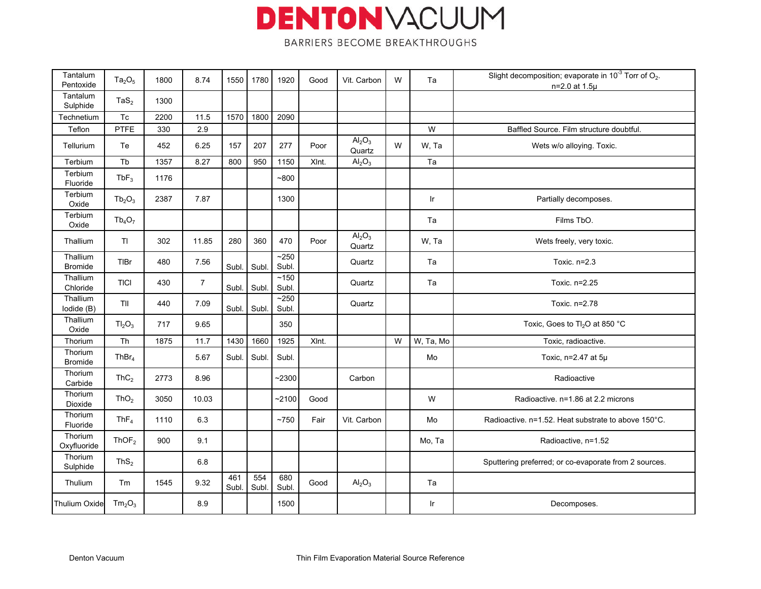| Tantalum<br>Pentoxide      | $Ta_2O_5$                      | 1800 | 8.74           | 1550         | 1780        | 1920          | Good  | Vit. Carbon                              | W | Ta        | Slight decomposition; evaporate in $10^{-3}$ Torr of O <sub>2</sub> .<br>n=2.0 at 1.5µ |
|----------------------------|--------------------------------|------|----------------|--------------|-------------|---------------|-------|------------------------------------------|---|-----------|----------------------------------------------------------------------------------------|
| Tantalum<br>Sulphide       | $\text{TaS}_2$                 | 1300 |                |              |             |               |       |                                          |   |           |                                                                                        |
| Technetium                 | Tc                             | 2200 | 11.5           | 1570         | 1800        | 2090          |       |                                          |   |           |                                                                                        |
| Teflon                     | PTFE                           | 330  | 2.9            |              |             |               |       |                                          |   | W         | Baffled Source. Film structure doubtful.                                               |
| <b>Tellurium</b>           | Te                             | 452  | 6.25           | 157          | 207         | 277           | Poor  | Al <sub>2</sub> O <sub>3</sub><br>Quartz | W | W, Ta     | Wets w/o alloying. Toxic.                                                              |
| Terbium                    | Tb                             | 1357 | 8.27           | 800          | 950         | 1150          | XInt. | Al <sub>2</sub> O <sub>3</sub>           |   | Ta        |                                                                                        |
| Terbium<br>Fluoride        | $TbF_3$                        | 1176 |                |              |             | $-800$        |       |                                          |   |           |                                                                                        |
| Terbium<br>Oxide           | $Tb_2O_3$                      | 2387 | 7.87           |              |             | 1300          |       |                                          |   | <b>Ir</b> | Partially decomposes.                                                                  |
| Terbium<br>Oxide           | $Tb_4O_7$                      |      |                |              |             |               |       |                                          |   | Ta        | Films TbO.                                                                             |
| Thallium                   | T1                             | 302  | 11.85          | 280          | 360         | 470           | Poor  | Al <sub>2</sub> O <sub>3</sub><br>Quartz |   | W, Ta     | Wets freely, very toxic.                                                               |
| Thallium<br><b>Bromide</b> | <b>TIBr</b>                    | 480  | 7.56           | Subl.        | Subl        | ~250<br>Subl. |       | Quartz                                   |   | Ta        | Toxic. n=2.3                                                                           |
| Thallium<br>Chloride       | <b>TICI</b>                    | 430  | $\overline{7}$ | Subl.        | Subl        | ~150<br>Subl. |       | Quartz                                   |   | Ta        | Toxic. n=2.25                                                                          |
| Thallium<br>lodide (B)     | TII                            | 440  | 7.09           | Subl.        | Subl        | ~250<br>Subl. |       | Quartz                                   |   |           | Toxic. n=2.78                                                                          |
| Thallium<br>Oxide          | TI <sub>2</sub> O <sub>3</sub> | 717  | 9.65           |              |             | 350           |       |                                          |   |           | Toxic, Goes to Tl <sub>2</sub> O at 850 °C                                             |
| Thorium                    | Th                             | 1875 | 11.7           | 1430         | 1660        | 1925          | XInt. |                                          | W | W, Ta, Mo | Toxic, radioactive.                                                                    |
| Thorium<br>Bromide         | ThBr <sub>4</sub>              |      | 5.67           | Subl.        | Subl.       | Subl.         |       |                                          |   | Mo        | Toxic, $n=2.47$ at $5\mu$                                                              |
| Thorium<br>Carbide         | ThC <sub>2</sub>               | 2773 | 8.96           |              |             | $-2300$       |       | Carbon                                   |   |           | Radioactive                                                                            |
| Thorium<br>Dioxide         | ThO <sub>2</sub>               | 3050 | 10.03          |              |             | $-2100$       | Good  |                                          |   | W         | Radioactive. n=1.86 at 2.2 microns                                                     |
| Thorium<br>Fluoride        | ThF <sub>4</sub>               | 1110 | 6.3            |              |             | ~1750         | Fair  | Vit. Carbon                              |   | Mo        | Radioactive. n=1.52. Heat substrate to above 150°C.                                    |
| Thorium<br>Oxyfluoride     | ThOF <sub>2</sub>              | 900  | 9.1            |              |             |               |       |                                          |   | Mo, Ta    | Radioactive, n=1.52                                                                    |
| Thorium<br>Sulphide        | ThS <sub>2</sub>               |      | 6.8            |              |             |               |       |                                          |   |           | Sputtering preferred; or co-evaporate from 2 sources.                                  |
| Thulium                    | Tm                             | 1545 | 9.32           | 461<br>Subl. | 554<br>Subl | 680<br>Subl.  | Good  | Al <sub>2</sub> O <sub>3</sub>           |   | Ta        |                                                                                        |
| Thulium Oxide              | Tm <sub>2</sub> O <sub>3</sub> |      | 8.9            |              |             | 1500          |       |                                          |   | Ir        | Decomposes.                                                                            |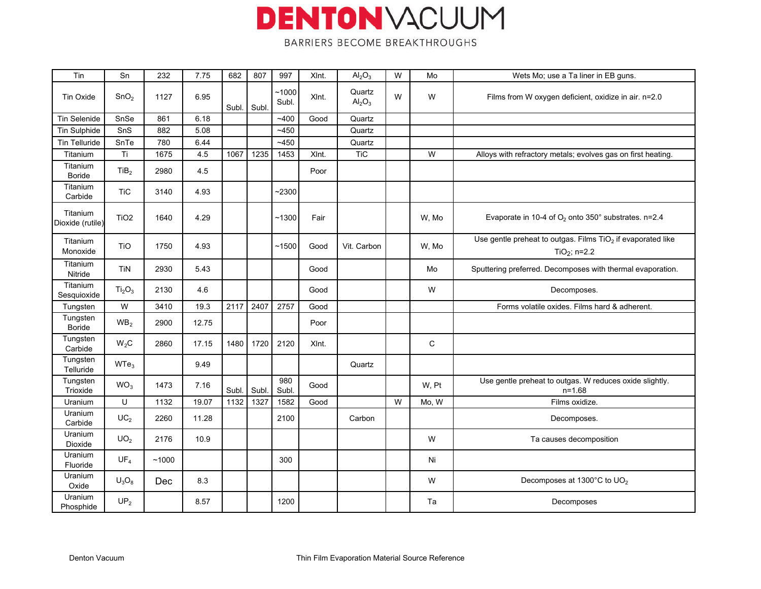| Tin                          | Sn                             | 232   | 7.75  | 682   | 807  | 997            | XInt. | Al <sub>2</sub> O <sub>3</sub>        | W | Mo          | Wets Mo; use a Ta liner in EB guns.                                                                   |
|------------------------------|--------------------------------|-------|-------|-------|------|----------------|-------|---------------------------------------|---|-------------|-------------------------------------------------------------------------------------------------------|
| Tin Oxide                    | SnO <sub>2</sub>               | 1127  | 6.95  | Subl. | Subl | ~1000<br>Subl. | XInt. | Quartz<br>$\mathsf{Al}_2\mathsf{O}_3$ | W | W           | Films from W oxygen deficient, oxidize in air. n=2.0                                                  |
| <b>Tin Selenide</b>          | SnSe                           | 861   | 6.18  |       |      | ~1400          | Good  | Quartz                                |   |             |                                                                                                       |
| <b>Tin Sulphide</b>          | SnS                            | 882   | 5.08  |       |      | $-450$         |       | Quartz                                |   |             |                                                                                                       |
| Tin Telluride                | SnTe                           | 780   | 6.44  |       |      | $-450$         |       | Quartz                                |   |             |                                                                                                       |
| Titanium                     | $\overline{\mathsf{T}}$ i      | 1675  | 4.5   | 1067  | 1235 | 1453           | XInt. | <b>TiC</b>                            |   | W           | Alloys with refractory metals; evolves gas on first heating.                                          |
| Titanium<br><b>Boride</b>    | TiB <sub>2</sub>               | 2980  | 4.5   |       |      |                | Poor  |                                       |   |             |                                                                                                       |
| Titanium<br>Carbide          | <b>TiC</b>                     | 3140  | 4.93  |       |      | $-2300$        |       |                                       |   |             |                                                                                                       |
| Titanium<br>Dioxide (rutile) | TiO <sub>2</sub>               | 1640  | 4.29  |       |      | ~1300          | Fair  |                                       |   | W, Mo       | Evaporate in 10-4 of $O_2$ onto 350° substrates. n=2.4                                                |
| Titanium<br>Monoxide         | <b>TiO</b>                     | 1750  | 4.93  |       |      | ~1500          | Good  | Vit. Carbon                           |   | W, Mo       | Use gentle preheat to outgas. Films TiO <sub>2</sub> if evaporated like<br>TiO <sub>2</sub> ; $n=2.2$ |
| Titanium<br>Nitride          | TiN                            | 2930  | 5.43  |       |      |                | Good  |                                       |   | Mo          | Sputtering preferred. Decomposes with thermal evaporation.                                            |
| Titanium<br>Sesquioxide      | Ti <sub>2</sub> O <sub>3</sub> | 2130  | 4.6   |       |      |                | Good  |                                       |   | W           | Decomposes.                                                                                           |
| Tungsten                     | W                              | 3410  | 19.3  | 2117  | 2407 | 2757           | Good  |                                       |   |             | Forms volatile oxides. Films hard & adherent.                                                         |
| Tungsten<br><b>Boride</b>    | WB <sub>2</sub>                | 2900  | 12.75 |       |      |                | Poor  |                                       |   |             |                                                                                                       |
| Tungsten<br>Carbide          | W <sub>2</sub> C               | 2860  | 17.15 | 1480  | 1720 | 2120           | XInt. |                                       |   | $\mathbf C$ |                                                                                                       |
| Tungsten<br>Telluride        | WTe <sub>3</sub>               |       | 9.49  |       |      |                |       | Quartz                                |   |             |                                                                                                       |
| Tungsten<br>Trioxide         | WO <sub>3</sub>                | 1473  | 7.16  | Subl. | Subl | 980<br>Subl.   | Good  |                                       |   | W, Pt       | Use gentle preheat to outgas. W reduces oxide slightly.<br>$n = 1.68$                                 |
| <b>Uranium</b>               | U                              | 1132  | 19.07 | 1132  | 1327 | 1582           | Good  |                                       | W | Mo, W       | Films oxidize.                                                                                        |
| <b>Uranium</b><br>Carbide    | UC <sub>2</sub>                | 2260  | 11.28 |       |      | 2100           |       | Carbon                                |   |             | Decomposes.                                                                                           |
| Uranium<br>Dioxide           | UO <sub>2</sub>                | 2176  | 10.9  |       |      |                |       |                                       |   | W           | Ta causes decomposition                                                                               |
| Uranium<br>Fluoride          | UF <sub>4</sub>                | ~1000 |       |       |      | 300            |       |                                       |   | Ni          |                                                                                                       |
| Uranium<br>Oxide             | $U_3O_8$                       | Dec   | 8.3   |       |      |                |       |                                       |   | W           | Decomposes at 1300°C to UO <sub>2</sub>                                                               |
| Uranium<br>Phosphide         | UP <sub>2</sub>                |       | 8.57  |       |      | 1200           |       |                                       |   | Ta          | Decomposes                                                                                            |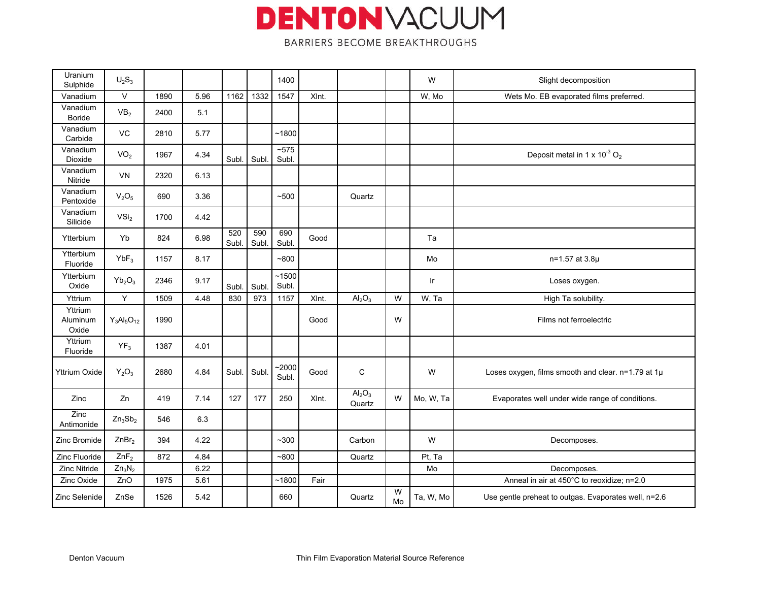| Uranium<br>Sulphide          | $U_2S_3$                              |      |      |              |              | 1400             |       |                                          |         | W         | Slight decomposition                                 |
|------------------------------|---------------------------------------|------|------|--------------|--------------|------------------|-------|------------------------------------------|---------|-----------|------------------------------------------------------|
| Vanadium                     | $\vee$                                | 1890 | 5.96 | 1162         | 1332         | 1547             | XInt. |                                          |         | W, Mo     | Wets Mo. EB evaporated films preferred.              |
| Vanadium<br><b>Boride</b>    | VB <sub>2</sub>                       | 2400 | 5.1  |              |              |                  |       |                                          |         |           |                                                      |
| Vanadium<br>Carbide          | VC                                    | 2810 | 5.77 |              |              | ~1800            |       |                                          |         |           |                                                      |
| Vanadium<br>Dioxide          | VO <sub>2</sub>                       | 1967 | 4.34 | Subl.        | Subl         | ~575<br>Subl.    |       |                                          |         |           | Deposit metal in 1 x $10^{-3}$ O <sub>2</sub>        |
| Vanadium<br>Nitride          | VN                                    | 2320 | 6.13 |              |              |                  |       |                                          |         |           |                                                      |
| Vanadium<br>Pentoxide        | $V_2O_5$                              | 690  | 3.36 |              |              | ~100             |       | Quartz                                   |         |           |                                                      |
| Vanadium<br>Silicide         | VSi <sub>2</sub>                      | 1700 | 4.42 |              |              |                  |       |                                          |         |           |                                                      |
| Ytterbium                    | Yb                                    | 824  | 6.98 | 520<br>Subl. | 590<br>Subl. | 690<br>Subl      | Good  |                                          |         | Ta        |                                                      |
| Ytterbium<br>Fluoride        | $YbF_3$                               | 1157 | 8.17 |              |              | ~100             |       |                                          |         | Mo        | n=1.57 at 3.8µ                                       |
| Ytterbium<br>Oxide           | $Yb_2O_3$                             | 2346 | 9.17 | Subl.        | Subl         | ~1500<br>Subl.   |       |                                          |         | Ir        | Loses oxygen.                                        |
| Yttrium                      | $\mathsf Y$                           | 1509 | 4.48 | 830          | 973          | 1157             | XInt. | Al <sub>2</sub> O <sub>3</sub>           | W       | W, Ta     | High Ta solubility.                                  |
| Yttrium<br>Aluminum<br>Oxide | $Y_3$ Al <sub>5</sub> O <sub>12</sub> | 1990 |      |              |              |                  | Good  |                                          | W       |           | Films not ferroelectric                              |
| Yttrium<br>Fluoride          | $YF_3$                                | 1387 | 4.01 |              |              |                  |       |                                          |         |           |                                                      |
| <b>Yttrium Oxide</b>         | $Y_2O_3$                              | 2680 | 4.84 | Subl.        | Subl         | $-2000$<br>Subl. | Good  | C                                        |         | W         | Loses oxygen, films smooth and clear. n=1.79 at 1µ   |
| <b>Zinc</b>                  | Zn                                    | 419  | 7.14 | 127          | 177          | 250              | XInt. | Al <sub>2</sub> O <sub>3</sub><br>Quartz | W       | Mo, W, Ta | Evaporates well under wide range of conditions.      |
| Zinc<br>Antimonide           | $Zn_3Sb_2$                            | 546  | 6.3  |              |              |                  |       |                                          |         |           |                                                      |
| Zinc Bromide                 | ZnBr <sub>2</sub>                     | 394  | 4.22 |              |              | $~1$ - 300       |       | Carbon                                   |         | W         | Decomposes.                                          |
| Zinc Fluoride                | $ZnF_2$                               | 872  | 4.84 |              |              | $-800$           |       | Quartz                                   |         | Pt, Ta    |                                                      |
| Zinc Nitride                 | $Zn_3N_2$                             |      | 6.22 |              |              |                  |       |                                          |         | Mo        | Decomposes.                                          |
| Zinc Oxide                   | ZnO                                   | 1975 | 5.61 |              |              | ~1800            | Fair  |                                          |         |           | Anneal in air at 450°C to reoxidize; n=2.0           |
| Zinc Selenide                | ZnSe                                  | 1526 | 5.42 |              |              | 660              |       | Quartz                                   | W<br>Mo | Ta, W, Mo | Use gentle preheat to outgas. Evaporates well, n=2.6 |